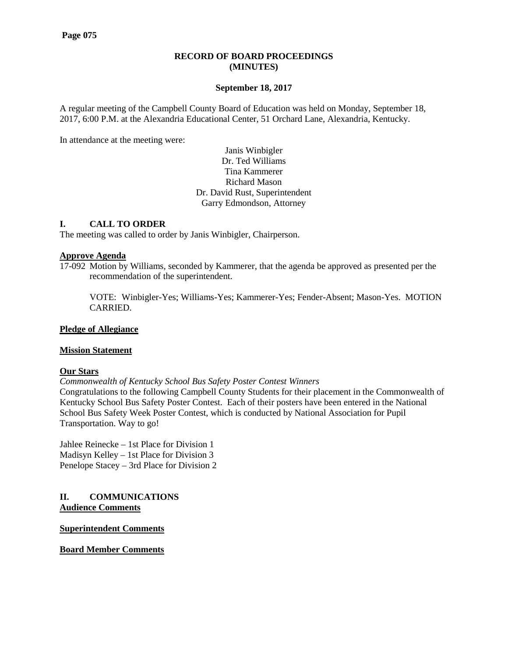## **RECORD OF BOARD PROCEEDINGS (MINUTES)**

#### **September 18, 2017**

A regular meeting of the Campbell County Board of Education was held on Monday, September 18, 2017, 6:00 P.M. at the Alexandria Educational Center, 51 Orchard Lane, Alexandria, Kentucky.

In attendance at the meeting were:

## Janis Winbigler Dr. Ted Williams Tina Kammerer Richard Mason Dr. David Rust, Superintendent Garry Edmondson, Attorney

## **I. CALL TO ORDER**

The meeting was called to order by Janis Winbigler, Chairperson.

#### **Approve Agenda**

17-092 Motion by Williams, seconded by Kammerer, that the agenda be approved as presented per the recommendation of the superintendent.

VOTE: Winbigler-Yes; Williams-Yes; Kammerer-Yes; Fender-Absent; Mason-Yes. MOTION CARRIED.

#### **Pledge of Allegiance**

#### **Mission Statement**

#### **Our Stars**

*Commonwealth of Kentucky School Bus Safety Poster Contest Winners* Congratulations to the following Campbell County Students for their placement in the Commonwealth of Kentucky School Bus Safety Poster Contest. Each of their posters have been entered in the National School Bus Safety Week Poster Contest, which is conducted by National Association for Pupil Transportation. Way to go!

Jahlee Reinecke – 1st Place for Division 1 Madisyn Kelley – 1st Place for Division 3 Penelope Stacey – 3rd Place for Division 2

#### **II. COMMUNICATIONS Audience Comments**

**Superintendent Comments**

**Board Member Comments**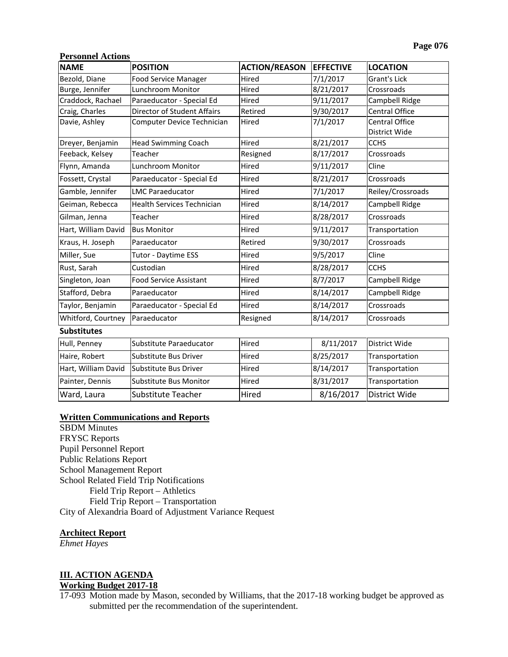## **Personnel Actions**

| <b>NAME</b>         | <b>POSITION</b>                   | <b>ACTION/REASON</b> | <b>EFFECTIVE</b> | <b>LOCATION</b>                 |
|---------------------|-----------------------------------|----------------------|------------------|---------------------------------|
| Bezold, Diane       | <b>Food Service Manager</b>       | Hired                | 7/1/2017         | <b>Grant's Lick</b>             |
| Burge, Jennifer     | Lunchroom Monitor                 | Hired                | 8/21/2017        | Crossroads                      |
| Craddock, Rachael   | Paraeducator - Special Ed         | Hired                | 9/11/2017        | Campbell Ridge                  |
| Craig, Charles      | Director of Student Affairs       | Retired              | 9/30/2017        | Central Office                  |
| Davie, Ashley       | Computer Device Technician        | Hired                | 7/1/2017         | Central Office<br>District Wide |
| Dreyer, Benjamin    | <b>Head Swimming Coach</b>        | Hired                | 8/21/2017        | <b>CCHS</b>                     |
| Feeback, Kelsey     | Teacher                           | Resigned             | 8/17/2017        | Crossroads                      |
| Flynn, Amanda       | Lunchroom Monitor                 | Hired                | 9/11/2017        | Cline                           |
| Fossett, Crystal    | Paraeducator - Special Ed         | Hired                | 8/21/2017        | Crossroads                      |
| Gamble, Jennifer    | <b>LMC Paraeducator</b>           | Hired                | 7/1/2017         | Reiley/Crossroads               |
| Geiman, Rebecca     | <b>Health Services Technician</b> | Hired                | 8/14/2017        | Campbell Ridge                  |
| Gilman, Jenna       | Teacher                           | Hired                | 8/28/2017        | Crossroads                      |
| Hart, William David | <b>Bus Monitor</b>                | Hired                | 9/11/2017        | Transportation                  |
| Kraus, H. Joseph    | Paraeducator                      | Retired              | 9/30/2017        | Crossroads                      |
| Miller, Sue         | Tutor - Daytime ESS               | Hired                | 9/5/2017         | Cline                           |
| Rust, Sarah         | Custodian                         | Hired                | 8/28/2017        | <b>CCHS</b>                     |
| Singleton, Joan     | <b>Food Service Assistant</b>     | Hired                | 8/7/2017         | Campbell Ridge                  |
| Stafford, Debra     | Paraeducator                      | Hired                | 8/14/2017        | Campbell Ridge                  |
| Taylor, Benjamin    | Paraeducator - Special Ed         | Hired                | 8/14/2017        | Crossroads                      |
| Whitford, Courtney  | Paraeducator                      | Resigned             | 8/14/2017        | Crossroads                      |
| <b>Substitutes</b>  |                                   |                      |                  |                                 |
| Hull, Penney        | Substitute Paraeducator           | Hired                | 8/11/2017        | District Wide                   |
| Haire, Robert       | <b>Substitute Bus Driver</b>      | Hired                | 8/25/2017        | Transportation                  |
| Hart, William David | Substitute Bus Driver             | Hired                | 8/14/2017        | Transportation                  |
| Painter, Dennis     | Substitute Bus Monitor            | Hired                | 8/31/2017        | Transportation                  |
| Ward, Laura         | <b>Substitute Teacher</b>         | Hired                | 8/16/2017        | District Wide                   |

#### **Written Communications and Reports**

SBDM Minutes FRYSC Reports Pupil Personnel Report Public Relations Report School Management Report School Related Field Trip Notifications Field Trip Report – Athletics Field Trip Report – Transportation City of Alexandria Board of Adjustment Variance Request

## **Architect Report**

*Ehmet Hayes*

# **III. ACTION AGENDA**

#### **Working Budget 2017-18**

17-093 Motion made by Mason, seconded by Williams, that the 2017-18 working budget be approved as submitted per the recommendation of the superintendent.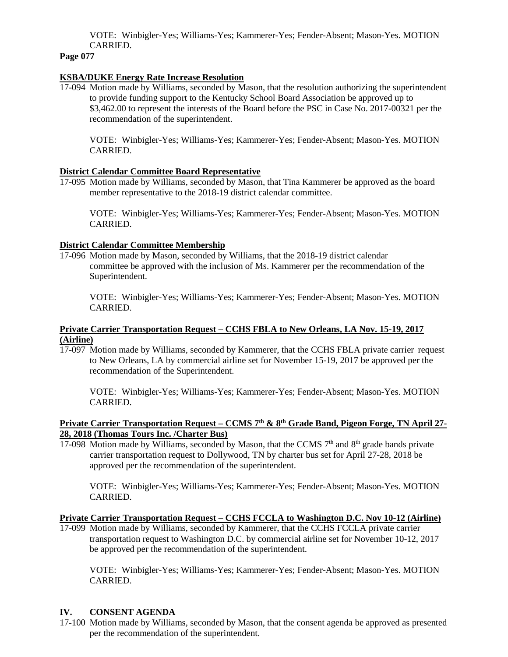VOTE: Winbigler-Yes; Williams-Yes; Kammerer-Yes; Fender-Absent; Mason-Yes. MOTION CARRIED.

**Page 077**

## **KSBA/DUKE Energy Rate Increase Resolution**

17-094 Motion made by Williams, seconded by Mason, that the resolution authorizing the superintendent to provide funding support to the Kentucky School Board Association be approved up to \$3,462.00 to represent the interests of the Board before the PSC in Case No. 2017-00321 per the recommendation of the superintendent.

VOTE: Winbigler-Yes; Williams-Yes; Kammerer-Yes; Fender-Absent; Mason-Yes. MOTION CARRIED.

## **District Calendar Committee Board Representative**

17-095 Motion made by Williams, seconded by Mason, that Tina Kammerer be approved as the board member representative to the 2018-19 district calendar committee.

VOTE: Winbigler-Yes; Williams-Yes; Kammerer-Yes; Fender-Absent; Mason-Yes. MOTION CARRIED.

## **District Calendar Committee Membership**

17-096 Motion made by Mason, seconded by Williams, that the 2018-19 district calendar committee be approved with the inclusion of Ms. Kammerer per the recommendation of the Superintendent.

VOTE: Winbigler-Yes; Williams-Yes; Kammerer-Yes; Fender-Absent; Mason-Yes. MOTION CARRIED.

## **Private Carrier Transportation Request – CCHS FBLA to New Orleans, LA Nov. 15-19, 2017 (Airline)**

17-097 Motion made by Williams, seconded by Kammerer, that the CCHS FBLA private carrier request to New Orleans, LA by commercial airline set for November 15-19, 2017 be approved per the recommendation of the Superintendent.

VOTE: Winbigler-Yes; Williams-Yes; Kammerer-Yes; Fender-Absent; Mason-Yes. MOTION CARRIED.

## **Private Carrier Transportation Request – CCMS 7th & 8th Grade Band, Pigeon Forge, TN April 27- 28, 2018 (Thomas Tours Inc. /Charter Bus)**

17-098 Motion made by Williams, seconded by Mason, that the CCMS  $7<sup>th</sup>$  and  $8<sup>th</sup>$  grade bands private carrier transportation request to Dollywood, TN by charter bus set for April 27-28, 2018 be approved per the recommendation of the superintendent.

VOTE: Winbigler-Yes; Williams-Yes; Kammerer-Yes; Fender-Absent; Mason-Yes. MOTION CARRIED.

## **Private Carrier Transportation Request – CCHS FCCLA to Washington D.C. Nov 10-12 (Airline)**

17-099 Motion made by Williams, seconded by Kammerer, that the CCHS FCCLA private carrier transportation request to Washington D.C. by commercial airline set for November 10-12, 2017 be approved per the recommendation of the superintendent.

VOTE: Winbigler-Yes; Williams-Yes; Kammerer-Yes; Fender-Absent; Mason-Yes. MOTION CARRIED.

## **IV. CONSENT AGENDA**

17-100 Motion made by Williams, seconded by Mason, that the consent agenda be approved as presented per the recommendation of the superintendent.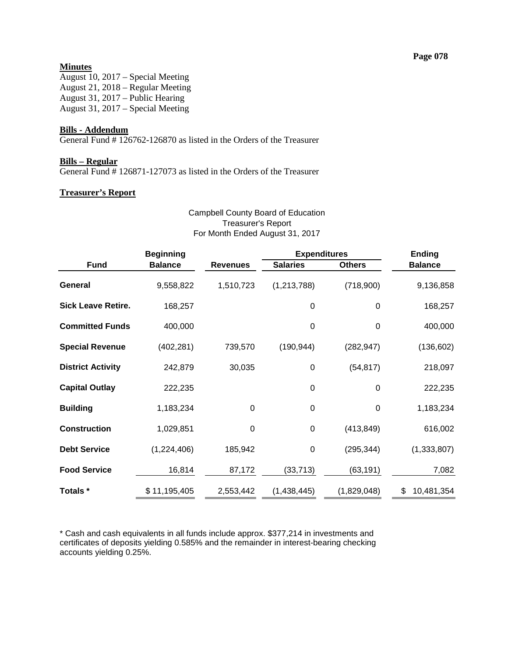# **Minutes**

August 10, 2017 – Special Meeting August 21, 2018 – Regular Meeting August 31, 2017 – Public Hearing August 31, 2017 – Special Meeting

#### **Bills - Addendum**

General Fund # 126762-126870 as listed in the Orders of the Treasurer

# **Bills – Regular**

General Fund # 126871-127073 as listed in the Orders of the Treasurer

#### **Treasurer's Report**

#### Campbell County Board of Education Treasurer's Report For Month Ended August 31, 2017

|                           | <b>Beginning</b> |                 | <b>Expenditures</b> |               | <b>Ending</b>    |
|---------------------------|------------------|-----------------|---------------------|---------------|------------------|
| <b>Fund</b>               | <b>Balance</b>   | <b>Revenues</b> | <b>Salaries</b>     | <b>Others</b> | <b>Balance</b>   |
| General                   | 9,558,822        | 1,510,723       | (1, 213, 788)       | (718,900)     | 9,136,858        |
| <b>Sick Leave Retire.</b> | 168,257          |                 | 0                   | 0             | 168,257          |
| <b>Committed Funds</b>    | 400,000          |                 | 0                   | 0             | 400,000          |
| <b>Special Revenue</b>    | (402, 281)       | 739,570         | (190, 944)          | (282, 947)    | (136, 602)       |
| <b>District Activity</b>  | 242,879          | 30,035          | 0                   | (54, 817)     | 218,097          |
| <b>Capital Outlay</b>     | 222,235          |                 | 0                   | 0             | 222,235          |
| <b>Building</b>           | 1,183,234        | $\mathbf 0$     | $\boldsymbol{0}$    | 0             | 1,183,234        |
| <b>Construction</b>       | 1,029,851        | $\mathbf 0$     | $\boldsymbol{0}$    | (413, 849)    | 616,002          |
| <b>Debt Service</b>       | (1,224,406)      | 185,942         | 0                   | (295, 344)    | (1, 333, 807)    |
| <b>Food Service</b>       | 16,814           | 87,172          | (33, 713)           | (63, 191)     | 7,082            |
| Totals *                  | \$11,195,405     | 2,553,442       | (1,438,445)         | (1,829,048)   | \$<br>10,481,354 |

\* Cash and cash equivalents in all funds include approx. \$377,214 in investments and certificates of deposits yielding 0.585% and the remainder in interest-bearing checking accounts yielding 0.25%.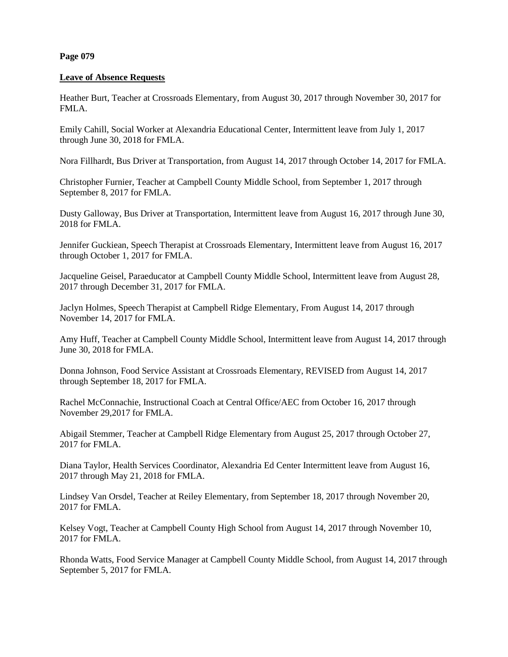## **Page 079**

#### **Leave of Absence Requests**

Heather Burt, Teacher at Crossroads Elementary, from August 30, 2017 through November 30, 2017 for FMLA.

Emily Cahill, Social Worker at Alexandria Educational Center, Intermittent leave from July 1, 2017 through June 30, 2018 for FMLA.

Nora Fillhardt, Bus Driver at Transportation, from August 14, 2017 through October 14, 2017 for FMLA.

Christopher Furnier, Teacher at Campbell County Middle School, from September 1, 2017 through September 8, 2017 for FMLA.

Dusty Galloway, Bus Driver at Transportation, Intermittent leave from August 16, 2017 through June 30, 2018 for FMLA.

Jennifer Guckiean, Speech Therapist at Crossroads Elementary, Intermittent leave from August 16, 2017 through October 1, 2017 for FMLA.

Jacqueline Geisel, Paraeducator at Campbell County Middle School, Intermittent leave from August 28, 2017 through December 31, 2017 for FMLA.

Jaclyn Holmes, Speech Therapist at Campbell Ridge Elementary, From August 14, 2017 through November 14, 2017 for FMLA.

Amy Huff, Teacher at Campbell County Middle School, Intermittent leave from August 14, 2017 through June 30, 2018 for FMLA.

Donna Johnson, Food Service Assistant at Crossroads Elementary, REVISED from August 14, 2017 through September 18, 2017 for FMLA.

Rachel McConnachie, Instructional Coach at Central Office/AEC from October 16, 2017 through November 29,2017 for FMLA.

Abigail Stemmer, Teacher at Campbell Ridge Elementary from August 25, 2017 through October 27, 2017 for FMLA.

Diana Taylor, Health Services Coordinator, Alexandria Ed Center Intermittent leave from August 16, 2017 through May 21, 2018 for FMLA.

Lindsey Van Orsdel, Teacher at Reiley Elementary, from September 18, 2017 through November 20, 2017 for FMLA.

Kelsey Vogt, Teacher at Campbell County High School from August 14, 2017 through November 10, 2017 for FMLA.

Rhonda Watts, Food Service Manager at Campbell County Middle School, from August 14, 2017 through September 5, 2017 for FMLA.